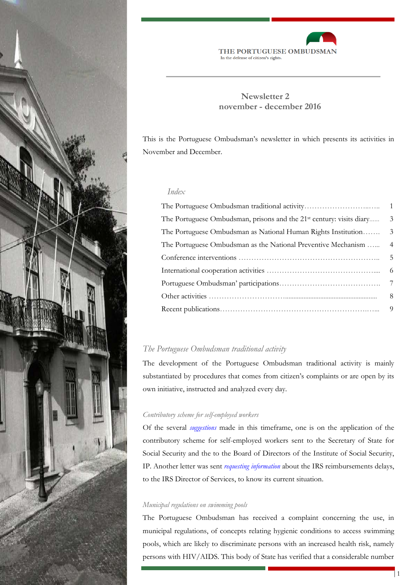



# **Newsletter 2 november - december 2016**

This is the Portuguese Ombudsman's newsletter in which presents its activities in November and December.

# *Index*

| The Portuguese Ombudsman, prisons and the 21 <sup>st</sup> century: visits diary | $\overline{\phantom{a}}$ |
|----------------------------------------------------------------------------------|--------------------------|
| The Portuguese Ombudsman as National Human Rights Institution                    | $\overline{3}$           |
| The Portuguese Ombudsman as the National Preventive Mechanism  4                 |                          |
|                                                                                  |                          |
|                                                                                  |                          |
|                                                                                  |                          |
|                                                                                  | 8                        |
|                                                                                  |                          |

# *The Portuguese Ombudsman traditional activity*

The development of the Portuguese Ombudsman traditional activity is mainly substantiated by procedures that comes from citizen's complaints or are open by its own initiative, instructed and analyzed every day.

# *Contributory scheme for self-employed workers*

Of the several *[suggestions](http://www.provedor-jus.pt/?idc=35&idi=16548)* made in this timeframe, one is on the application of the contributory scheme for self-employed workers sent to the Secretary of State for Social Security and the to the Board of Directors of the Institute of Social Security, IP. Another letter was sent *requesting [information](http://www.provedor-jus.pt/?idc=35&idi=16562)* about the IRS reimbursements delays, to the IRS Director of Services, to know its current situation.

### *Municipal regulations on swimming pools*

The Portuguese Ombudsman has received a complaint concerning the use, in municipal regulations, of concepts relating hygienic conditions to access swimming pools, which are likely to discriminate persons with an increased health risk, namely persons with HIV/AIDS. This body of State has verified that a considerable number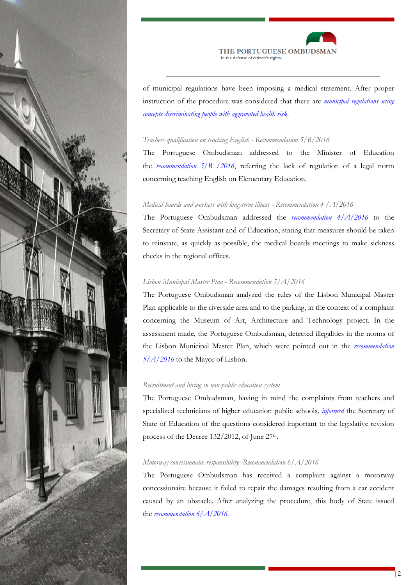



of municipal regulations have been imposing a medical statement. After proper instruction of the procedure was considered that there are *municipal regulations using concepts discriminating people with aggravated health risk.*

## *Teachers qualification on teaching English - Recommendation 5/B/2016*

The Portuguese Ombudsman addressed to the Minister of Education the *recommendation 5/B /2016*, referring the lack of regulation of a legal norm concerning teaching English on Elementary Education.

# *Medical boards and workers with long-term illness - Recommendation 4 /A/2016*

The Portuguese Ombudsman addressed the *[recommendation 4/A/2016](http://www.provedor-jus.pt/?idc=67&idi=16645)* to the Secretary of State Assistant and of Education, stating that measures should be taken to reinstate, as quickly as possible, the medical boards meetings to make sickness checks in the regional offices.

## *Lisbon Municipal Master Plan - Recommendation 5/A/2016*

The Portuguese Ombudsman analyzed the rules of the Lisbon Municipal Master Plan applicable to the riverside area and to the parking, in the context of a complaint concerning the Museum of Art, Architecture and Technology project. In the assessment made, the Portuguese Ombudsman, detected illegalities in the norms of the Lisbon Municipal Master Plan, which were pointed out in the *[recommendation](http://www.provedor-jus.pt/?idc=67&idi=16650)  [5/A/2016](http://www.provedor-jus.pt/?idc=67&idi=16650)* to the Mayor of Lisbon.

## *Recruitment and hiring in non-public education system*

The Portuguese Ombudsman, having in mind the complaints from teachers and specialized technicians of higher education public schools*, [informed](http://www.provedor-jus.pt/?idc=35&idi=16659)* the Secretary of State of Education of the questions considered important to the legislative revision process of the Decree 132/2012, of June 27<sup>th</sup>.

#### *Motorway concessionaire responsibility- Recommendation 6/A/2016*

The Portuguese Ombudsman has received a complaint against a motorway concessionaire because it failed to repair the damages resulting from a car accident caused by an obstacle. After analyzing the procedure, this body of State issued the *[recommendation 6/A/2016.](http://www.provedor-jus.pt/?idc=67&idi=16661)*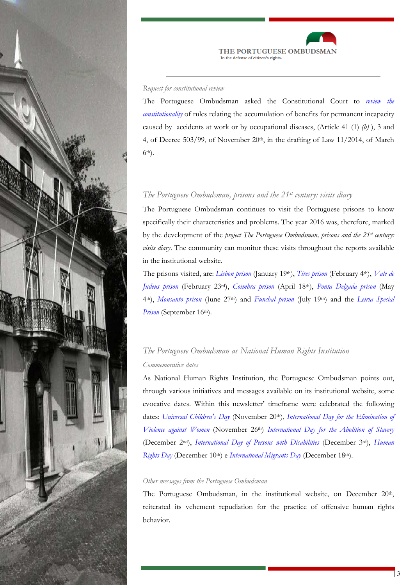



#### *Request for constitutional review*

The Portuguese Ombudsman asked the Constitutional Court to *[review the](http://www.provedor-jus.pt/site/public/?idc=46&idi=16664)  [constitutionality](http://www.provedor-jus.pt/site/public/?idc=46&idi=16664)* of rules relating the accumulation of benefits for permanent incapacity caused by accidents at work or by occupational diseases, (Article 41 (1) *(b)* ), 3 and 4, of Decree 503/99, of November 20th, in the drafting of Law 11/2014, of March 6th).

# *The Portuguese Ombudsman, prisons and the 21st century: visits diary*

The Portuguese Ombudsman continues to visit the Portuguese prisons to know specifically their characteristics and problems. The year 2016 was, therefore, marked by the development of the *project The Portuguese Ombudsman, prisons and the 21st century: visits diary*. The community can monitor these visits throughout the reports available in the institutional website.

The prisons visited, are: *[Lisbon prison](http://www.provedor-jus.pt/?idc=83&idi=16117)* (January 19th), *[Tires prison](http://www.provedor-jus.pt/?idc=83&idi=16149)* (February 4th), *[Vale de](http://www.provedor-jus.pt/?idc=83&idi=16159)  [Judeus prison](http://www.provedor-jus.pt/?idc=83&idi=16159)* (February 23rd), *[Coimbra prison](http://www.provedor-jus.pt/?idc=83&idi=16258)* (April 18th), *[Ponta Delgada prison](http://www.provedor-jus.pt/?idc=83&idi=16273)* (May 4th), *[Monsanto prison](http://www.provedor-jus.pt/?idc=83&idi=16476)* (June 27th) and *[Funchal prison](http://www.provedor-jus.pt/?idc=83&idi=16490)* (July 19th) and the *[Leiria Special](http://www.provedor-jus.pt/?idc=83&idi=16631)  [Prison](http://www.provedor-jus.pt/?idc=83&idi=16631)* (September 16<sup>th</sup>).

# *The Portuguese Ombudsman as National Human Rights Institution Commemorative dates*

As National Human Rights Institution, the Portuguese Ombudsman points out, through various initiatives and messages available on its institutional website, some evocative dates. Within this newsletter' timeframe were celebrated the following dates: *[Universal Children's Day](http://www.provedor-jus.pt/?idc=35&idi=16566)* (November 20<sup>th</sup>), *[International Day for](http://www.provedor-jus.pt/?idc=35&idi=16578) the Elimination of [Violence against Women](http://www.provedor-jus.pt/?idc=35&idi=16578)* (November 26th) *[International Day for the Abolition of Slavery](http://www.provedor-jus.pt/?idc=35&idi=16622)* (December 2nd), *[International Day of Persons with Disabilities](http://www.provedor-jus.pt/?idc=35&idi=16624)* (December 3rd), *[Human](http://www.provedor-jus.pt/?idc=35&idi=16634)  [Rights Day](http://www.provedor-jus.pt/?idc=35&idi=16634)* (December 10th) e *[International Migrants Day](http://www.provedor-jus.pt/?idc=35&idi=16643)* (December 18th).

## *Other messages from the Portuguese Ombudsman*

The Portuguese Ombudsman, in the institutional website, on December 20<sup>th</sup>, reiterated its vehement repudiation for the practice of offensive human rights behavior.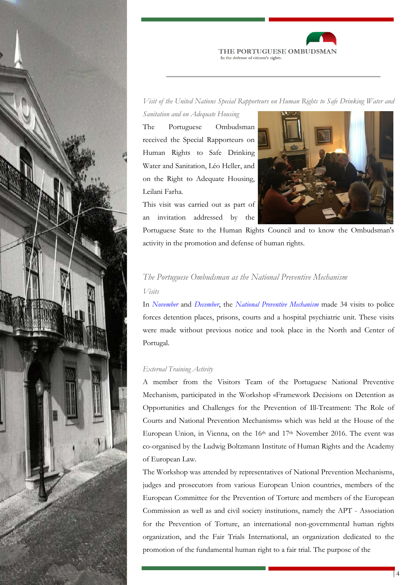



*Visit of the United Nations Special Rapporteurs on Human Rights to Safe Drinking Water and* 

*Sanitation and on Adequate Housing*

The Portuguese Ombudsman received the Special Rapporteurs on Human Rights to Safe Drinking Water and Sanitation, Léo Heller, and on the Right to Adequate Housing, Leilani Farha.

This visit was carried out as part of an invitation addressed by the



Portuguese State to the Human Rights Council and to know the Ombudsman's activity in the promotion and defense of human rights.

# *The Portuguese Ombudsman as the National Preventive Mechanism Visits*

In *[November](http://www.provedor-jus.pt/site/public/?idc=111&dta=2016&dtm=11)* and *[December](http://www.provedor-jus.pt/site/public/?idc=111&dta=2016&dtm=12)*, the *[National Preventive Mechanism](http://www.provedor-jus.pt/?idc=107)* made 34 visits to police forces detention places, prisons, courts and a hospital psychiatric unit. These visits were made without previous notice and took place in the North and Center of Portugal.

# *External Training Activity*

A member from the Visitors Team of the Portuguese National Preventive Mechanism, participated in the Workshop «Framework Decisions on Detention as Opportunities and Challenges for the Prevention of Ill-Treatment: The Role of Courts and National Prevention Mechanisms» which was held at the House of the European Union, in Vienna, on the 16<sup>th</sup> and 17<sup>th</sup> November 2016. The event was co-organised by the Ludwig Boltzmann Institute of Human Rights and the Academy of European Law.

The Workshop was attended by representatives of National Prevention Mechanisms, judges and prosecutors from various European Union countries, members of the European Committee for the Prevention of Torture and members of the European Commission as well as and civil society institutions, namely the APT - Association for the Prevention of Torture, an international non-governmental human rights organization, and the Fair Trials International, an organization dedicated to the promotion of the fundamental human right to a fair trial. The purpose of the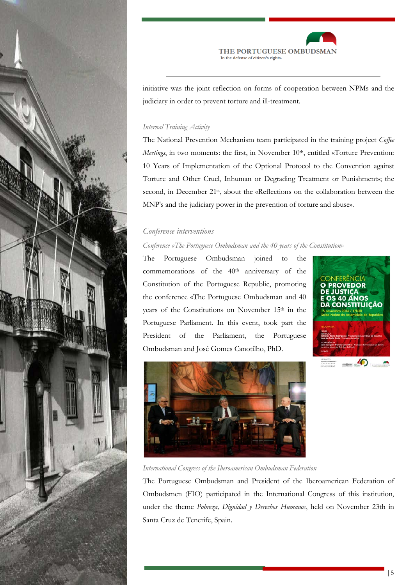



initiative was the joint reflection on forms of cooperation between NPMs and the judiciary in order to prevent torture and ill-treatment.

# *Internal Training Activity*

The National Prevention Mechanism team participated in the training project *Coffee Meetings*, in two moments: the first, in November 10<sup>th</sup>, entitled «Torture Prevention: 10 Years of Implementation of the Optional Protocol to the Convention against Torture and Other Cruel, Inhuman or Degrading Treatment or Punishment»; the second, in December 21<sup>st</sup>, about the «Reflections on the collaboration between the MNP's and the judiciary power in the prevention of torture and abuse».

# *Conference interventions*

## *Conference «The Portuguese Ombudsman and the 40 years of the Constitution»*

The Portuguese Ombudsman joined to the commemorations of the 40th anniversary of the Constitution of the Portuguese Republic, promoting the conference «The Portuguese Ombudsman and 40 years of the Constitution» on November 15<sup>th</sup> in the Portuguese Parliament. In this event, took part the President of the Parliament, the Portuguese Ombudsman and José Gomes Canotilho, PhD.





*International Congress of the Iberoamerican Ombudsman Federation*

The Portuguese Ombudsman and President of the Iberoamerican Federation of Ombudsmen (FIO) participated in the International Congress of this institution, under the theme *Pobreza, Dignidad y Derechos Humanos*, held on November 23th in Santa Cruz de Tenerife, Spain.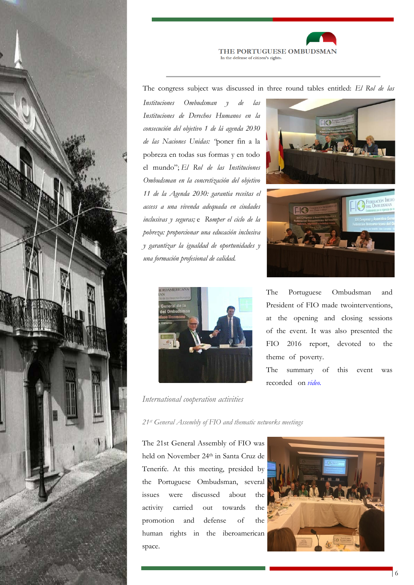



The congress subject was discussed in three round tables entitled: *El Rol de las* 

*Instituciones Ombudsman y de las Instituciones de Derechos Humanos en la consecución del objetivo 1 de lá agenda 2030 de las Naciones Unidas: "*poner fin a la pobreza en todas sus formas y en todo el mundo"; *El Rol de las Instituciones Ombudsman en la concretización del objetivo 11 de la Agenda 2030: garantia receitas el access a una vivenda adequada en ciudades inclusivas y seguras;* e *Romper el ciclo de la pobreza: proporcionar una educación inclusiva y garantizar la igualdad de oportunidades y una formación profesional de calidad.*



*International cooperation activities* 

FEDERACION TBE<br>DEL OMBUDSMA!  $L_{\text{C}}$ 

The Portuguese Ombudsman and President of FIO made twointerventions, at the opening and closing sessions of the event. It was also presented the FIO 2016 report, devoted to the [them](https://youtu.be/8zxitwf97uQ)e of poverty.

The summary of this event was recorded on *video.*

*21st General Assembly of FIO and thematic networks meetings* 

The 21st General Assembly of FIO was held on November 24<sup>th</sup> in Santa Cruz de Tenerife. At this meeting, presided by the Portuguese Ombudsman, several issues were discussed about the activity carried out towards the promotion and defense of the human rights in the iberoamerican space.

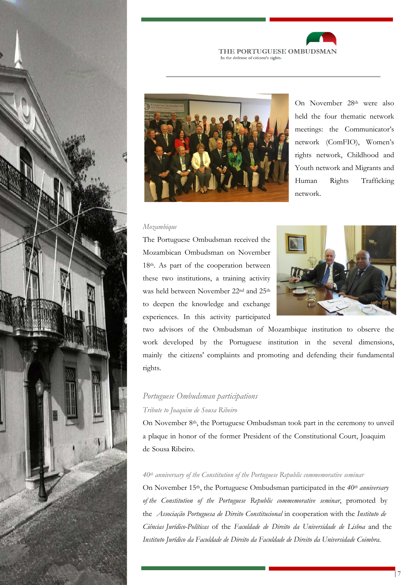





On November 28<sup>th</sup> were also held the four thematic network meetings: the Communicator's network (ComFIO), Women's rights network, Childhood and Youth network and Migrants and Human Rights Trafficking network.

#### *Mozambique*

The Portuguese Ombudsman received the Mozambican Ombudsman on November 18th. As part of the cooperation between these two institutions, a training activity was held between November 22nd and 25th to deepen the knowledge and exchange experiences. In this activity participated



two advisors of the Ombudsman of Mozambique institution to observe the work developed by the Portuguese institution in the several dimensions, mainly the citizens' complaints and promoting and defending their fundamental rights.

# *Portuguese Ombudsman participations Tribute to Joaquim de Sousa Ribeiro*

On November 8<sup>th</sup>, the Portuguese Ombudsman took part in the ceremony to unveil a plaque in honor of the former President of the Constitutional Court, Joaquim de Sousa Ribeiro.

# *40th anniversary of the Constitution of the Portuguese Republic commemorative seminar*

On November 15th, the Portuguese Ombudsman participated in the *40th anniversary of the Constitution of the Portuguese Republic commemorative seminar*, promoted by the *Associação Portuguesa de Direito Constitucional* in cooperation with the *Instituto de Ciências Jurídico-Políticas* of the *Faculdade de Direito da Universidade de Lisboa* and the *Instituto Jurídico da Faculdade de Direito da Faculdade de Direito da Universidade Coimbra*.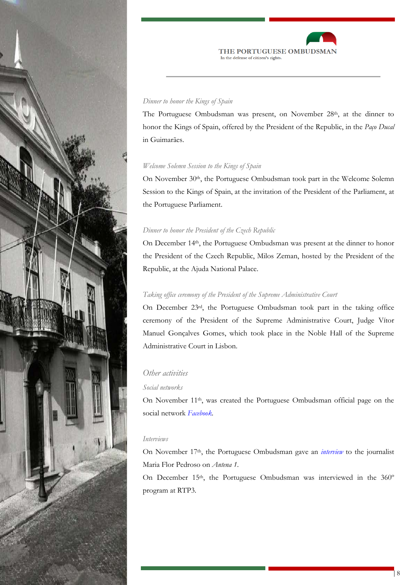



## *Dinner to honor the Kings of Spain*

The Portuguese Ombudsman was present, on November 28<sup>th</sup>, at the dinner to honor the Kings of Spain, offered by the President of the Republic, in the *Paço Ducal*  in Guimarães.

## *Welcome Solemn Session to the Kings of Spain*

On November 30th, the Portuguese Ombudsman took part in the Welcome Solemn Session to the Kings of Spain, at the invitation of the President of the Parliament, at the Portuguese Parliament.

### *Dinner to honor the President of the Czech Republic*

On December 14th, the Portuguese Ombudsman was present at the dinner to honor the President of the Czech Republic, Milos Zeman, hosted by the President of the Republic, at the Ajuda National Palace.

## *Taking office ceremony of the President of the Supreme Administrative Court*

On December 23rd, the Portuguese Ombudsman took part in the taking office ceremony of the President of the Supreme Administrative Court, Judge Vítor Manuel Gonçalves Gomes, which took place in the Noble Hall of the Supreme Administrative Court in Lisbon.

## *Other activities*

## *Social networks*

On November 11th, was created the Portuguese Ombudsman official page on the social network *[Facebook.](https://www.facebook.com/Provedor-de-Justi%C3%A7a-920298761438007/)*

#### *Interviews*

On November 17<sup>th</sup>, the Portuguese Ombudsman gave an *[interview](http://www.rtp.pt/play/p280/e259789/maria-flor-pedroso)* to the journalist Maria Flor Pedroso on *Antena 1*.

On December 15<sup>th</sup>, the Portuguese Ombudsman was interviewed in the 360° program at RTP3.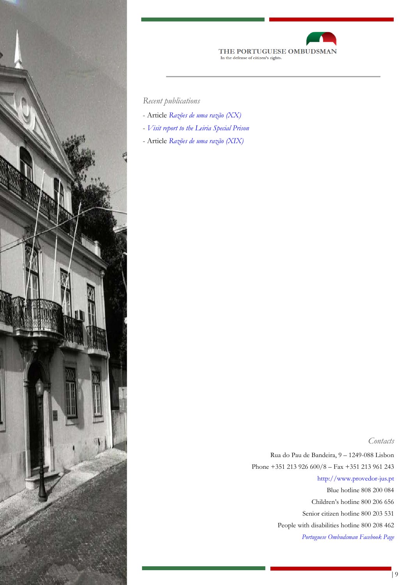



*Recent publications*

- Article *[Razões de uma razão \(XX\)](http://www.provedor-jus.pt/site/public/archive/doc/11122016_Razoes_de_uma_razao_XX.pdf)*
- *[Visit report to the Leiria Special Prison](http://www.provedor-jus.pt/?idc=83&idi=16631)*
- Article *[Razões de uma razão \(XIX\)](http://www.provedor-jus.pt/site/public/archive/doc/03_11_2016_Razoes_de_umarazao_XIX.pdf)*

*Contacts*

 Rua do Pau de Bandeira, 9 – 1249-088 Lisbon Phone +351 213 926 600/8 – Fax +351 213 961 243 [http://www.provedor-jus.pt](http://www.provedor-jus.pt/) Blue hotline 808 200 084 Children's hotline 800 206 656 Senior citizen hotline 800 203 531 People with disabilities hotline 800 208 462 *[Portuguese Ombudsman Facebook Page](https://www.facebook.com/Provedor-de-Justi%C3%A7a-920298761438007/)*